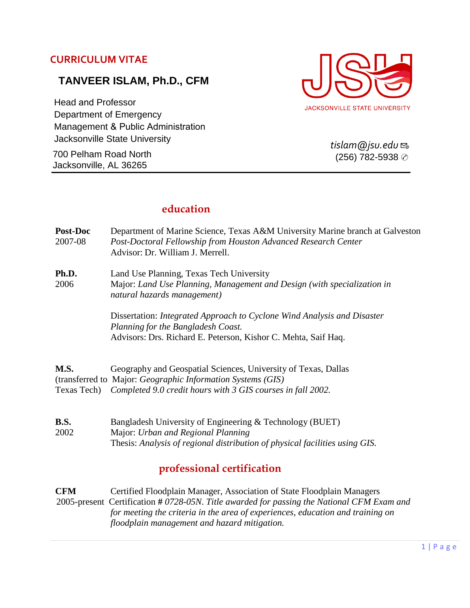#### **CURRICULUM VITAE**

## **TANVEER ISLAM, Ph.D., CFM**

Head and Professor Department of Emergency Management & Public Administration Jacksonville State University

700 Pelham Road North Jacksonville, AL 36265



*tislam@jsu.edu* (256) 782-5938 ✆

#### **education**

# **Post-Doc** Department of Marine Science, Texas A&M University Marine branch at Galveston 2007-08 *Post-Doctoral Fellowship from Houston Advanced Research Center* Advisor: Dr. William J. Merrell. **Ph.D.** Land Use Planning, Texas Tech University 2006 Major: *Land Use Planning, Management and Design (with specialization in natural hazards management)* Dissertation: *Integrated Approach to Cyclone Wind Analysis and Disaster Planning for the Bangladesh Coast.* Advisors: Drs. Richard E. Peterson, Kishor C. Mehta, Saif Haq. **M.S.** Geography and Geospatial Sciences, University of Texas, Dallas (transferred to Major: *Geographic Information Systems (GIS)* Texas Tech) *Completed 9.0 credit hours with 3 GIS courses in fall 2002.* **B.S.** Bangladesh University of Engineering & Technology (BUET) 2002 Major: *Urban and Regional Planning* Thesis: *Analysis of regional distribution of physical facilities using GIS.*

# **professional certification**

**CFM** Certified Floodplain Manager, Association of State Floodplain Managers 2005-present Certification **#** *0728-05N*. *Title awarded for passing the National CFM Exam and for meeting the criteria in the area of experiences, education and training on floodplain management and hazard mitigation.*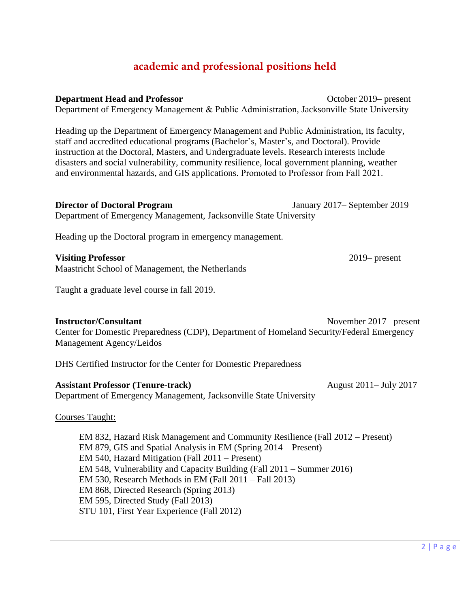## **academic and professional positions held**

**Department Head and Professor Constanting Constanting Constanting Constanting Constanting Constanting Constanting Constanting Constanting Constanting Constanting Constanting Constanting Constanting Constanting Constanti** Department of Emergency Management & Public Administration, Jacksonville State University Heading up the Department of Emergency Management and Public Administration, its faculty, staff and accredited educational programs (Bachelor's, Master's, and Doctoral). Provide instruction at the Doctoral, Masters, and Undergraduate levels. Research interests include disasters and social vulnerability, community resilience, local government planning, weather and environmental hazards, and GIS applications. Promoted to Professor from Fall 2021. **Director of Doctoral Program** January 2017– September 2019 Department of Emergency Management, Jacksonville State University Heading up the Doctoral program in emergency management. **Visiting Professor** 2019– present Maastricht School of Management, the Netherlands Taught a graduate level course in fall 2019. **Instructor/Consultant** November 2017– present Center for Domestic Preparedness (CDP), Department of Homeland Security/Federal Emergency Management Agency/Leidos DHS Certified Instructor for the Center for Domestic Preparedness **Assistant Professor (Tenure-track)** August 2011– July 2017 Department of Emergency Management, Jacksonville State University Courses Taught: EM 832, Hazard Risk Management and Community Resilience (Fall 2012 – Present) EM 879, GIS and Spatial Analysis in EM (Spring 2014 – Present) EM 540, Hazard Mitigation (Fall 2011 – Present) EM 548, Vulnerability and Capacity Building (Fall 2011 – Summer 2016) EM 530, Research Methods in EM (Fall 2011 – Fall 2013) EM 868, Directed Research (Spring 2013) EM 595, Directed Study (Fall 2013)

STU 101, First Year Experience (Fall 2012)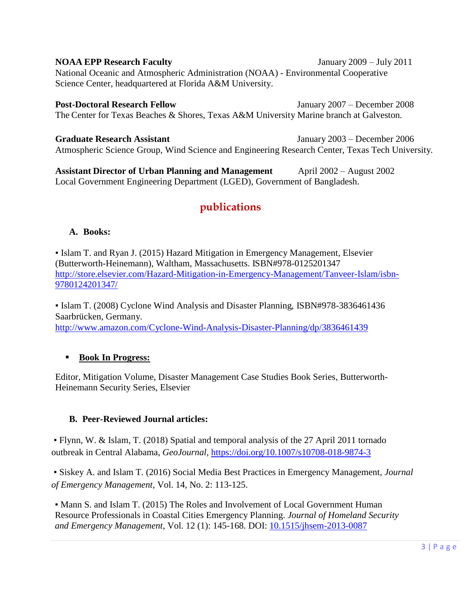#### **NOAA EPP Research Faculty** January 2009 – July 2011 National Oceanic and Atmospheric Administration (NOAA) - Environmental Cooperative Science Center, headquartered at Florida A&M University.

**Post-Doctoral Research Fellow** January 2007 – December 2008 The Center for Texas Beaches & Shores, Texas A&M University Marine branch at Galveston.

**Graduate Research Assistant** January 2003 – December 2006 Atmospheric Science Group, Wind Science and Engineering Research Center, Texas Tech University.

**Assistant Director of Urban Planning and Management** April 2002 – August 2002 Local Government Engineering Department (LGED), Government of Bangladesh.

# **publications**

#### **A. Books:**

▪ Islam T. and Ryan J. (2015) Hazard Mitigation in Emergency Management, Elsevier (Butterworth-Heinemann), Waltham, Massachusetts. ISBN#978-0125201347 [http://store.elsevier.com/Hazard-Mitigation-in-Emergency-Management/Tanveer-Islam/isbn-](http://store.elsevier.com/Hazard-Mitigation-in-Emergency-Management/Tanveer-Islam/isbn-9780124201347/)[9780124201347/](http://store.elsevier.com/Hazard-Mitigation-in-Emergency-Management/Tanveer-Islam/isbn-9780124201347/)

▪ Islam T. (2008) Cyclone Wind Analysis and Disaster Planning, ISBN#978-3836461436 Saarbrücken, Germany. <http://www.amazon.com/Cyclone-Wind-Analysis-Disaster-Planning/dp/3836461439>

#### **Book In Progress:**

Editor, Mitigation Volume, Disaster Management Case Studies Book Series, Butterworth-Heinemann Security Series, Elsevier

#### **B. Peer-Reviewed Journal articles:**

▪ Flynn, W. & Islam, T. (2018) Spatial and temporal analysis of the 27 April 2011 tornado outbreak in Central Alabama, *GeoJournal,* <https://doi.org/10.1007/s10708-018-9874-3>

▪ Siskey A. and Islam T. (2016) Social Media Best Practices in Emergency Management, *Journal of Emergency Management,* Vol. 14, No. 2: 113-125.

▪ Mann S. and Islam T. (2015) The Roles and Involvement of Local Government Human Resource Professionals in Coastal Cities Emergency Planning. *Journal of Homeland Security and Emergency Management,* Vol. 12 (1): 145-168. DOI: [10.1515/jhsem-2013-0087](http://dx.doi.org/10.1515/jhsem-2013-0087)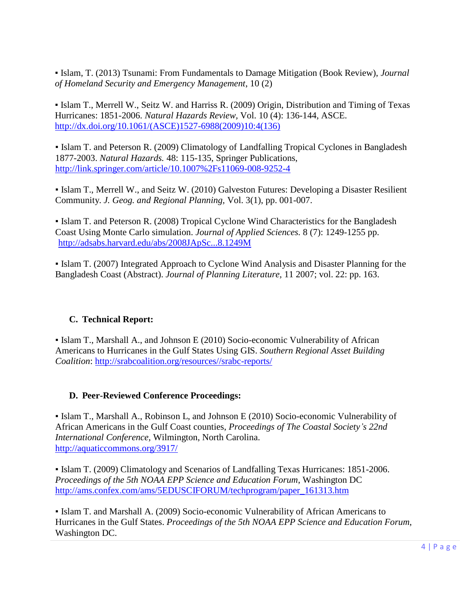▪ Islam, T. (2013) Tsunami: From Fundamentals to Damage Mitigation (Book Review), *Journal of Homeland Security and Emergency Management*, 10 (2)

▪ Islam T., Merrell W., Seitz W. and Harriss R. (2009) Origin, Distribution and Timing of Texas Hurricanes: 1851-2006. *Natural Hazards Review,* Vol. 10 (4): 136-144, ASCE. [http://dx.doi.org/10.1061/\(ASCE\)1527-6988\(2009\)10:4\(136\)](http://dx.doi.org/10.1061/(ASCE)1527-6988(2009)10:4(136))

▪ Islam T. and Peterson R. (2009) Climatology of Landfalling Tropical Cyclones in Bangladesh 1877-2003. *Natural Hazards.* 48: 115-135, Springer Publications, <http://link.springer.com/article/10.1007%2Fs11069-008-9252-4>

▪ Islam T., Merrell W., and Seitz W. (2010) Galveston Futures: Developing a Disaster Resilient Community. *J. Geog. and Regional Planning,* Vol. 3(1), pp. 001-007.

▪ Islam T. and Peterson R. (2008) Tropical Cyclone Wind Characteristics for the Bangladesh Coast Using Monte Carlo simulation. *Journal of Applied Sciences.* 8 (7): 1249-1255 pp. <http://adsabs.harvard.edu/abs/2008JApSc...8.1249M>

▪ Islam T. (2007) Integrated Approach to Cyclone Wind Analysis and Disaster Planning for the Bangladesh Coast (Abstract). *Journal of Planning Literature,* 11 2007; vol. 22: pp. 163.

#### **C. Technical Report:**

▪ Islam T., Marshall A., and Johnson E (2010) Socio-economic Vulnerability of African Americans to Hurricanes in the Gulf States Using GIS. *Southern Regional Asset Building Coalition*: [http://srabcoalition.org/resources//srabc-reports/](http://srabcoalition.org/resources/srabc-reports/)

#### **D. Peer-Reviewed Conference Proceedings:**

▪ Islam T., Marshall A., Robinson L, and Johnson E (2010) Socio-economic Vulnerability of African Americans in the Gulf Coast counties, *Proceedings of The Coastal Society's 22nd International Conference,* Wilmington, North Carolina. <http://aquaticcommons.org/3917/>

▪ Islam T. (2009) Climatology and Scenarios of Landfalling Texas Hurricanes: 1851-2006. *Proceedings of the 5th NOAA EPP Science and Education Forum*, Washington DC [http://ams.confex.com/ams/5EDUSCIFORUM/techprogram/paper\\_161313.htm](http://ams.confex.com/ams/5EDUSCIFORUM/techprogram/paper_161313.htm)

▪ Islam T. and Marshall A. (2009) Socio-economic Vulnerability of African Americans to Hurricanes in the Gulf States. *Proceedings of the 5th NOAA EPP Science and Education Forum*, Washington DC.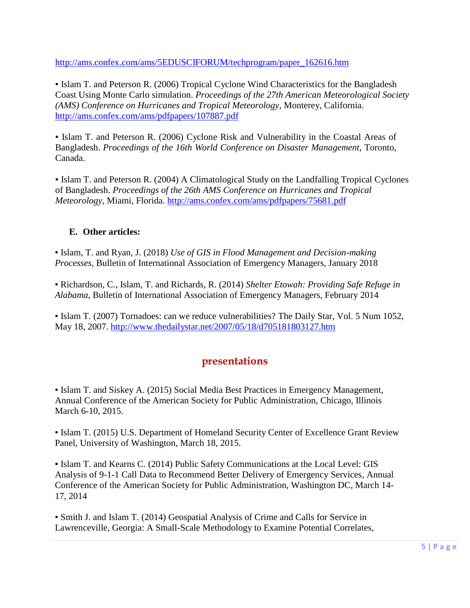[http://ams.confex.com/ams/5EDUSCIFORUM/techprogram/paper\\_162616.htm](http://ams.confex.com/ams/5EDUSCIFORUM/techprogram/paper_162616.htm)

▪ Islam T. and Peterson R. (2006) Tropical Cyclone Wind Characteristics for the Bangladesh Coast Using Monte Carlo simulation. *Proceedings of the 27th American Meteorological Society (AMS) Conference on Hurricanes and Tropical Meteorology*, Monterey, California. <http://ams.confex.com/ams/pdfpapers/107887.pdf>

▪ Islam T. and Peterson R. (2006) Cyclone Risk and Vulnerability in the Coastal Areas of Bangladesh. *Proceedings of the 16th World Conference on Disaster Management*, Toronto, Canada.

▪ Islam T. and Peterson R. (2004) A Climatological Study on the Landfalling Tropical Cyclones of Bangladesh. *Proceedings of the 26th AMS Conference on Hurricanes and Tropical Meteorology,* Miami, Florida. <http://ams.confex.com/ams/pdfpapers/75681.pdf>

#### **E. Other articles:**

▪ Islam, T. and Ryan, J. (2018) *Use of GIS in Flood Management and Decision-making Processes*, Bulletin of International Association of Emergency Managers, January 2018

▪ Richardson, C., Islam, T. and Richards, R. (2014) *Shelter Etowah: Providing Safe Refuge in Alabama*, Bulletin of International Association of Emergency Managers, February 2014

▪ Islam T. (2007) Tornadoes: can we reduce vulnerabilities? The Daily Star, Vol. 5 Num 1052, May 18, 2007.<http://www.thedailystar.net/2007/05/18/d705181803127.htm>

#### **presentations**

▪ Islam T. and Siskey A. (2015) Social Media Best Practices in Emergency Management, Annual Conference of the American Society for Public Administration, Chicago, Illinois March 6-10, 2015.

▪ Islam T. (2015) U.S. Department of Homeland Security Center of Excellence Grant Review Panel, University of Washington, March 18, 2015.

▪ Islam T. and Kearns C. (2014) Public Safety Communications at the Local Level: GIS Analysis of 9-1-1 Call Data to Recommend Better Delivery of Emergency Services, Annual Conference of the American Society for Public Administration, Washington DC, March 14- 17, 2014

▪ Smith J. and Islam T. (2014) Geospatial Analysis of Crime and Calls for Service in Lawrenceville, Georgia: A Small-Scale Methodology to Examine Potential Correlates,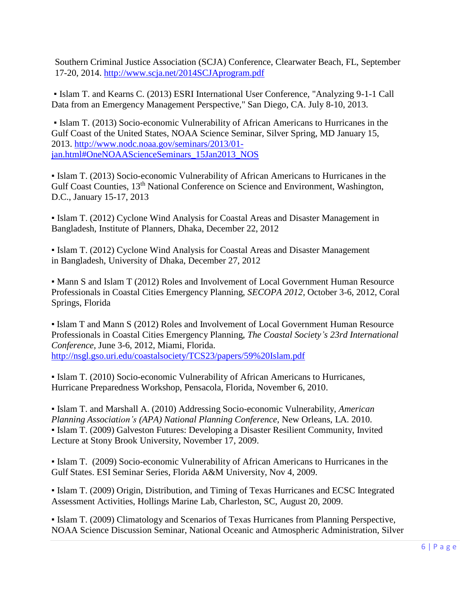Southern Criminal Justice Association (SCJA) Conference, Clearwater Beach, FL, September 17-20, 2014.<http://www.scja.net/2014SCJAprogram.pdf>

▪ Islam T. and Kearns C. (2013) ESRI International User Conference, "Analyzing 9-1-1 Call Data from an Emergency Management Perspective," San Diego, CA. July 8-10, 2013.

▪ Islam T. (2013) Socio-economic Vulnerability of African Americans to Hurricanes in the Gulf Coast of the United States, NOAA Science Seminar, Silver Spring, MD January 15, 2013. [http://www.nodc.noaa.gov/seminars/2013/01](http://www.nodc.noaa.gov/seminars/2013/01-jan.html#OneNOAAScienceSeminars_15Jan2013_NOS) [jan.html#OneNOAAScienceSeminars\\_15Jan2013\\_NOS](http://www.nodc.noaa.gov/seminars/2013/01-jan.html#OneNOAAScienceSeminars_15Jan2013_NOS)

▪ Islam T. (2013) Socio-economic Vulnerability of African Americans to Hurricanes in the Gulf Coast Counties, 13<sup>th</sup> National Conference on Science and Environment, Washington, D.C., January 15-17, 2013

▪ Islam T. (2012) Cyclone Wind Analysis for Coastal Areas and Disaster Management in Bangladesh, Institute of Planners, Dhaka, December 22, 2012

▪ Islam T. (2012) Cyclone Wind Analysis for Coastal Areas and Disaster Management in Bangladesh, University of Dhaka, December 27, 2012

▪ Mann S and Islam T (2012) Roles and Involvement of Local Government Human Resource Professionals in Coastal Cities Emergency Planning, *SECOPA 2012,* October 3-6, 2012, Coral Springs, Florida

▪ Islam T and Mann S (2012) Roles and Involvement of Local Government Human Resource Professionals in Coastal Cities Emergency Planning, *The Coastal Society's 23rd International Conference,* June 3-6, 2012, Miami, Florida. <http://nsgl.gso.uri.edu/coastalsociety/TCS23/papers/59%20Islam.pdf>

▪ Islam T. (2010) Socio-economic Vulnerability of African Americans to Hurricanes, Hurricane Preparedness Workshop, Pensacola, Florida, November 6, 2010.

▪ Islam T. and Marshall A. (2010) Addressing Socio-economic Vulnerability, *American Planning Association's (APA) National Planning Conference,* New Orleans, LA. 2010. ▪ Islam T. (2009) Galveston Futures: Developing a Disaster Resilient Community, Invited Lecture at Stony Brook University, November 17, 2009.

▪ Islam T. (2009) Socio-economic Vulnerability of African Americans to Hurricanes in the Gulf States. ESI Seminar Series, Florida A&M University, Nov 4, 2009.

▪ Islam T. (2009) Origin, Distribution, and Timing of Texas Hurricanes and ECSC Integrated Assessment Activities, Hollings Marine Lab, Charleston, SC, August 20, 2009.

▪ Islam T. (2009) Climatology and Scenarios of Texas Hurricanes from Planning Perspective, NOAA Science Discussion Seminar, National Oceanic and Atmospheric Administration, Silver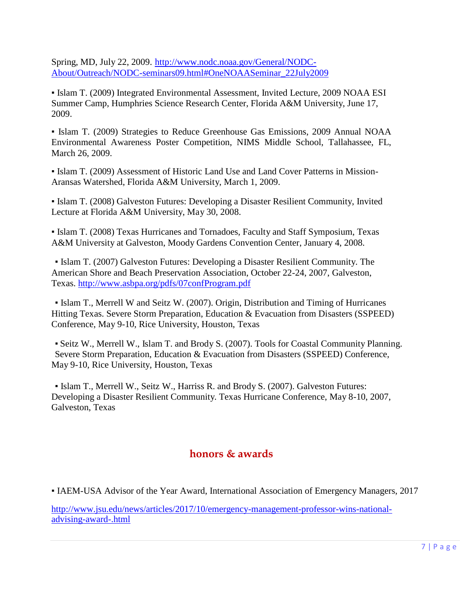Spring, MD, July 22, 2009. [http://www.nodc.noaa.gov/General/NODC-](http://www.nodc.noaa.gov/General/NODC-About/Outreach/NODC-seminars09.html#OneNOAASeminar_22July2009)[About/Outreach/NODC-seminars09.html#OneNOAASeminar\\_22July2009](http://www.nodc.noaa.gov/General/NODC-About/Outreach/NODC-seminars09.html#OneNOAASeminar_22July2009)

▪ Islam T. (2009) Integrated Environmental Assessment, Invited Lecture, 2009 NOAA ESI Summer Camp, Humphries Science Research Center, Florida A&M University, June 17, 2009.

▪ Islam T. (2009) Strategies to Reduce Greenhouse Gas Emissions, 2009 Annual NOAA Environmental Awareness Poster Competition, NIMS Middle School, Tallahassee, FL, March 26, 2009.

▪ Islam T. (2009) Assessment of Historic Land Use and Land Cover Patterns in Mission-Aransas Watershed, Florida A&M University, March 1, 2009.

▪ Islam T. (2008) Galveston Futures: Developing a Disaster Resilient Community, Invited Lecture at Florida A&M University, May 30, 2008.

▪ Islam T. (2008) Texas Hurricanes and Tornadoes, Faculty and Staff Symposium, Texas A&M University at Galveston, Moody Gardens Convention Center, January 4, 2008.

▪ Islam T. (2007) Galveston Futures: Developing a Disaster Resilient Community. The American Shore and Beach Preservation Association, October 22-24, 2007, Galveston, Texas.<http://www.asbpa.org/pdfs/07confProgram.pdf>

▪ Islam T., Merrell W and Seitz W. (2007). Origin, Distribution and Timing of Hurricanes Hitting Texas. Severe Storm Preparation, Education & Evacuation from Disasters (SSPEED) Conference, May 9-10, Rice University, Houston, Texas

▪ Seitz W., Merrell W., Islam T. and Brody S. (2007). Tools for Coastal Community Planning. Severe Storm Preparation, Education & Evacuation from Disasters (SSPEED) Conference, May 9-10, Rice University, Houston, Texas

▪ Islam T., Merrell W., Seitz W., Harriss R. and Brody S. (2007). Galveston Futures: Developing a Disaster Resilient Community. Texas Hurricane Conference, May 8-10, 2007, Galveston, Texas

#### **honors & awards**

▪ IAEM-USA Advisor of the Year Award, International Association of Emergency Managers, 2017

[http://www.jsu.edu/news/articles/2017/10/emergency-management-professor-wins-national](http://www.jsu.edu/news/articles/2017/10/emergency-management-professor-wins-national-advising-award-.html)[advising-award-.html](http://www.jsu.edu/news/articles/2017/10/emergency-management-professor-wins-national-advising-award-.html)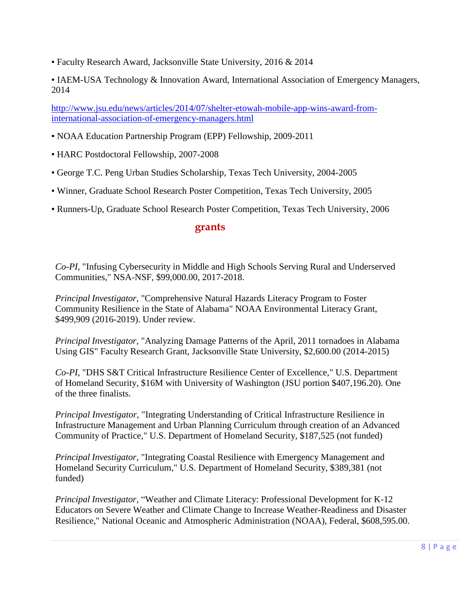- Faculty Research Award, Jacksonville State University, 2016 & 2014
- IAEM-USA Technology & Innovation Award, International Association of Emergency Managers, 2014

[http://www.jsu.edu/news/articles/2014/07/shelter-etowah-mobile-app-wins-award-from](http://www.jsu.edu/news/articles/2014/07/shelter-etowah-mobile-app-wins-award-from-international-association-of-emergency-managers.html)[international-association-of-emergency-managers.html](http://www.jsu.edu/news/articles/2014/07/shelter-etowah-mobile-app-wins-award-from-international-association-of-emergency-managers.html)

- NOAA Education Partnership Program (EPP) Fellowship, 2009-2011
- HARC Postdoctoral Fellowship, 2007-2008
- George T.C. Peng Urban Studies Scholarship, Texas Tech University, 2004-2005
- Winner, Graduate School Research Poster Competition, Texas Tech University, 2005
- Runners-Up, Graduate School Research Poster Competition, Texas Tech University, 2006

#### **grants**

*Co-PI,* "Infusing Cybersecurity in Middle and High Schools Serving Rural and Underserved Communities," NSA-NSF, \$99,000.00, 2017-2018.

*Principal Investigator,* "Comprehensive Natural Hazards Literacy Program to Foster Community Resilience in the State of Alabama" NOAA Environmental Literacy Grant, \$499,909 (2016-2019). Under review.

*Principal Investigator,* "Analyzing Damage Patterns of the April, 2011 tornadoes in Alabama Using GIS" Faculty Research Grant, Jacksonville State University, \$2,600.00 (2014-2015)

*Co-PI,* "DHS S&T Critical Infrastructure Resilience Center of Excellence," U.S. Department of Homeland Security, \$16M with University of Washington (JSU portion \$407,196.20). One of the three finalists.

*Principal Investigator,* "Integrating Understanding of Critical Infrastructure Resilience in Infrastructure Management and Urban Planning Curriculum through creation of an Advanced Community of Practice," U.S. Department of Homeland Security, \$187,525 (not funded)

*Principal Investigator,* "Integrating Coastal Resilience with Emergency Management and Homeland Security Curriculum," U.S. Department of Homeland Security, \$389,381 (not funded)

*Principal Investigator,* "Weather and Climate Literacy: Professional Development for K-12 Educators on Severe Weather and Climate Change to Increase Weather-Readiness and Disaster Resilience," National Oceanic and Atmospheric Administration (NOAA), Federal, \$608,595.00.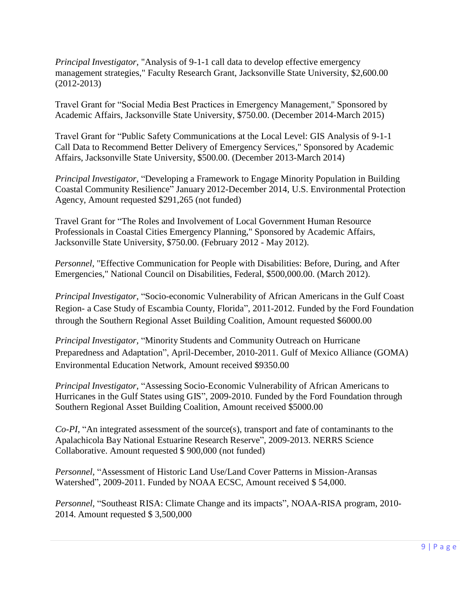*Principal Investigator,* "Analysis of 9-1-1 call data to develop effective emergency management strategies," Faculty Research Grant, Jacksonville State University, \$2,600.00 (2012-2013)

Travel Grant for "Social Media Best Practices in Emergency Management," Sponsored by Academic Affairs, Jacksonville State University, \$750.00. (December 2014-March 2015)

Travel Grant for "Public Safety Communications at the Local Level: GIS Analysis of 9-1-1 Call Data to Recommend Better Delivery of Emergency Services," Sponsored by Academic Affairs, Jacksonville State University, \$500.00. (December 2013-March 2014)

*Principal Investigator,* "Developing a Framework to Engage Minority Population in Building Coastal Community Resilience" January 2012-December 2014, U.S. Environmental Protection Agency, Amount requested \$291,265 (not funded)

Travel Grant for "The Roles and Involvement of Local Government Human Resource Professionals in Coastal Cities Emergency Planning," Sponsored by Academic Affairs, Jacksonville State University, \$750.00. (February 2012 - May 2012).

*Personnel,* "Effective Communication for People with Disabilities: Before, During, and After Emergencies," National Council on Disabilities, Federal, \$500,000.00. (March 2012).

*Principal Investigator,* "Socio-economic Vulnerability of African Americans in the Gulf Coast Region- a Case Study of Escambia County, Florida", 2011-2012. Funded by the Ford Foundation through the Southern Regional Asset Building Coalition, Amount requested \$6000.00

*Principal Investigator,* "Minority Students and Community Outreach on Hurricane Preparedness and Adaptation", April-December, 2010-2011. Gulf of Mexico Alliance (GOMA) Environmental Education Network, Amount received \$9350.00

*Principal Investigator,* "Assessing Socio-Economic Vulnerability of African Americans to Hurricanes in the Gulf States using GIS", 2009-2010. Funded by the Ford Foundation through Southern Regional Asset Building Coalition, Amount received \$5000.00

*Co-PI,* "An integrated assessment of the source(s), transport and fate of contaminants to the Apalachicola Bay National Estuarine Research Reserve", 2009-2013. NERRS Science Collaborative. Amount requested \$ 900,000 (not funded)

*Personnel,* "Assessment of Historic Land Use/Land Cover Patterns in Mission-Aransas Watershed", 2009-2011. Funded by NOAA ECSC, Amount received \$ 54,000.

*Personnel*, "Southeast RISA: Climate Change and its impacts", NOAA-RISA program, 2010-2014. Amount requested \$ 3,500,000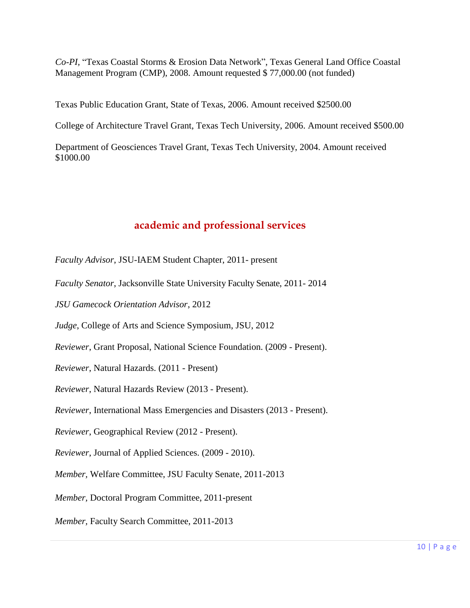*Co-PI,* "Texas Coastal Storms & Erosion Data Network", Texas General Land Office Coastal Management Program (CMP), 2008. Amount requested \$ 77,000.00 (not funded)

Texas Public Education Grant, State of Texas, 2006. Amount received \$2500.00

College of Architecture Travel Grant, Texas Tech University, 2006. Amount received \$500.00

Department of Geosciences Travel Grant, Texas Tech University, 2004. Amount received \$1000.00

### **academic and professional services**

*Faculty Advisor*, JSU-IAEM Student Chapter, 2011- present

*Faculty Senator*, Jacksonville State University Faculty Senate, 2011- 2014

*JSU Gamecock Orientation Advisor*, 2012

*Judge*, College of Arts and Science Symposium, JSU, 2012

*Reviewer*, Grant Proposal, National Science Foundation. (2009 - Present).

*Reviewer*, Natural Hazards. (2011 - Present)

*Reviewer*, Natural Hazards Review (2013 - Present).

*Reviewer*, International Mass Emergencies and Disasters (2013 - Present).

*Reviewer*, Geographical Review (2012 - Present).

*Reviewer*, Journal of Applied Sciences. (2009 - 2010).

*Member,* Welfare Committee, JSU Faculty Senate, 2011-2013

*Member,* Doctoral Program Committee, 2011-present

*Member,* Faculty Search Committee, 2011-2013